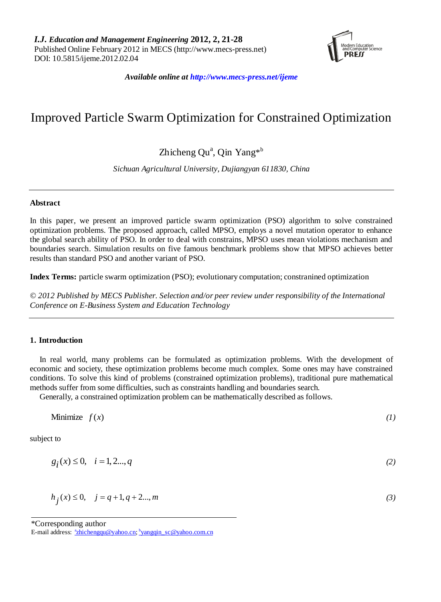

*Available online at http://www.mecs-press.net/ijeme*

# Improved Particle Swarm Optimization for Constrained Optimization

# Zhicheng Qu<sup>a</sup>, Qin Yang<sup>\*b</sup>

*Sichuan Agricultural University, Dujiangyan 611830, China*

# **Abstract**

In this paper, we present an improved particle swarm optimization (PSO) algorithm to solve constrained optimization problems. The proposed approach, called MPSO, employs a novel mutation operator to enhance the global search ability of PSO. In order to deal with constrains, MPSO uses mean violations mechanism and boundaries search. Simulation results on five famous benchmark problems show that MPSO achieves better results than standard PSO and another variant of PSO.

**Index Terms:** particle swarm optimization (PSO); evolutionary computation; constranined optimization

*© 2012 Published by MECS Publisher. Selection and/or peer review under responsibility of the International Conference on E-Business System and Education Technology*

## **1. Introduction**

In real world, many problems can be formulated as optimization problems. With the development of economic and society, these optimization problems become much complex. Some ones may have constrained conditions. To solve this kind of problems (constrained optimization problems), traditional pure mathematical methods suffer from some difficulties, such as constraints handling and boundaries search.

Generally, a constrained optimization problem can be mathematically described as follows.

Minimize  $f(x)$  *(1)* 

subject to

$$
g_i(x) \le 0, \quad i = 1, 2...,q \tag{2}
$$

$$
h_j(x) \le 0, \quad j = q+1, q+2...,m
$$
 (3)

<sup>\*</sup>Corresponding author

E-mail address: <u><sup>a</sup>[zhichengqu@yahoo.cn;](mailto:azhichengqu@yahoo.cn) <sup>b</sup>[yangqin\\_sc@yahoo.com.cn](mailto:byangqin_sc@yahoo.com.cn)</u>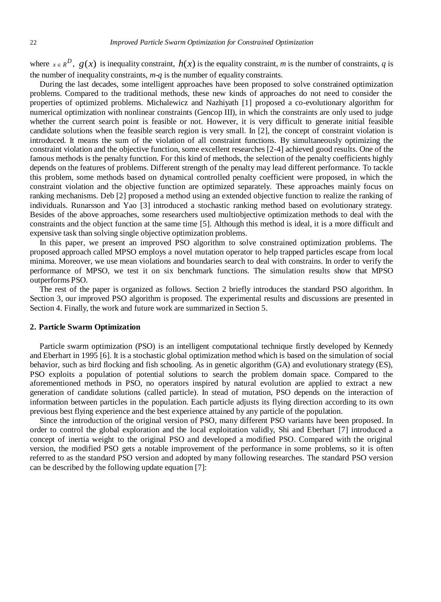where  $x \in R^D$ ,  $g(x)$  is inequality constraint,  $h(x)$  is the equality constraint, *m* is the number of constraints, *q* is the number of inequality constraints, *m*-*q* is the number of equality constraints.

During the last decades, some intelligent approaches have been proposed to solve constrained optimization problems. Compared to the traditional methods, these new kinds of approaches do not need to consider the properties of optimized problems. Michalewicz and Nazhiyath [1] proposed a co-evolutionary algorithm for numerical optimization with nonlinear constraints (Gencop III), in which the constraints are only used to judge whether the current search point is feasible or not. However, it is very difficult to generate initial feasible candidate solutions when the feasible search region is very small. In [2], the concept of constraint violation is introduced. It means the sum of the violation of all constraint functions. By simultaneously optimizing the constraint violation and the objective function, some excellent researches [2-4] achieved good results. One of the famous methods is the penalty function. For this kind of methods, the selection of the penalty coefficients highly depends on the features of problems. Different strength of the penalty may lead different performance. To tackle this problem, some methods based on dynamical controlled penalty coefficient were proposed, in which the constraint violation and the objective function are optimized separately. These approaches mainly focus on ranking mechanisms. Deb [2] proposed a method using an extended objective function to realize the ranking of individuals. Runarsson and Yao [3] introduced a stochastic ranking method based on evolutionary strategy. Besides of the above approaches, some researchers used multiobjective optimization methods to deal with the constraints and the object function at the same time [5]. Although this method is ideal, it is a more difficult and expensive task than solving single objective optimization problems.

In this paper, we present an improved PSO algorithm to solve constrained optimization problems. The proposed approach called MPSO employs a novel mutation operator to help trapped particles escape from local minima. Moreover, we use mean violations and boundaries search to deal with constrains. In order to verify the performance of MPSO, we test it on six benchmark functions. The simulation results show that MPSO outperforms PSO.

The rest of the paper is organized as follows. Section 2 briefly introduces the standard PSO algorithm. In Section 3, our improved PSO algorithm is proposed. The experimental results and discussions are presented in Section 4. Finally, the work and future work are summarized in Section 5.

#### **2. Particle Swarm Optimization**

Particle swarm optimization (PSO) is an intelligent computational technique firstly developed by Kennedy and Eberhart in 1995 [6]. It is a stochastic global optimization method which is based on the simulation of social behavior, such as bird flocking and fish schooling. As in genetic algorithm (GA) and evolutionary strategy (ES), PSO exploits a population of potential solutions to search the problem domain space. Compared to the aforementioned methods in PSO, no operators inspired by natural evolution are applied to extract a new generation of candidate solutions (called particle). In stead of mutation, PSO depends on the interaction of information between particles in the population. Each particle adjusts its flying direction according to its own previous best flying experience and the best experience attained by any particle of the population.

Since the introduction of the original version of PSO, many different PSO variants have been proposed. In order to control the global exploration and the local exploitation validly, Shi and Eberhart [7] introduced a concept of inertia weight to the original PSO and developed a modified PSO. Compared with the original version, the modified PSO gets a notable improvement of the performance in some problems, so it is often referred to as the standard PSO version and adopted by many following researches. The standard PSO version can be described by the following update equation [7]: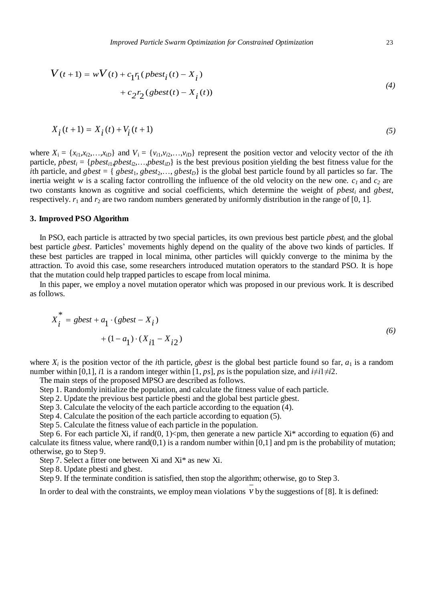$$
V(t+1) = wV(t) + c_1r_1(\text{pbest}_i(t) - X_i)
$$
  
+ 
$$
c_2r_2(\text{pbest}(t) - X_i(t))
$$
 (4)

$$
X_i(t+1) = X_i(t) + V_i(t+1)
$$
\n(5)

where  $X_i = \{x_{i1}, x_{i2}, \ldots, x_{iD}\}\$  and  $V_i = \{v_{i1}, v_{i2}, \ldots, v_{iD}\}\$  represent the position vector and velocity vector of the *i*th particle,  $pbest_i = \{pbest_{i1}, pbest_{i2}, \ldots, pbest_{iD}\}\$ is the best previous position yielding the best fitness value for the *i*th particle, and *gbest* = {  $gbest_1, gbest_2, \ldots, gbest_D$ } is the global best particle found by all particles so far. The inertia weight *w* is a scaling factor controlling the influence of the old velocity on the new one.  $c<sub>1</sub>$  and  $c<sub>2</sub>$  are two constants known as cognitive and social coefficients, which determine the weight of *pbest<sup>i</sup>* and *gbest*, respectively.  $r_1$  and  $r_2$  are two random numbers generated by uniformly distribution in the range of [0, 1].

#### **3. Improved PSO Algorithm**

In PSO, each particle is attracted by two special particles, its own previous best particle *pbest<sup>i</sup>* and the global best particle *gbest*. Particles' movements highly depend on the quality of the above two kinds of particles. If these best particles are trapped in local minima, other particles will quickly converge to the minima by the attraction. To avoid this case, some researchers introduced mutation operators to the standard PSO. It is hope that the mutation could help trapped particles to escape from local minima.

In this paper, we employ a novel mutation operator which was proposed in our previous work. It is described as follows.

$$
X_{i}^{*} = gbest + a_{1} \cdot (gbest - X_{i})
$$
  
+ (1 - a\_{1}) \cdot (X\_{i1} - X\_{i2}) (6)

where  $X_i$  is the position vector of the *i*th particle, *gbest* is the global best particle found so far,  $a_1$  is a random number within [0,1], *i*1 is a random integer within [1, *ps*], *ps* is the population size, and  $i \neq i1 \neq i2$ .

The main steps of the proposed MPSO are described as follows.

Step 1. Randomly initialize the population, and calculate the fitness value of each particle.

Step 2. Update the previous best particle pbesti and the global best particle gbest.

Step 3. Calculate the velocity of the each particle according to the equation (4).

Step 4. Calculate the position of the each particle according to equation (5).

Step 5. Calculate the fitness value of each particle in the population.

Step 6. For each particle Xi, if rand(0, 1)  $\times$ pm, then generate a new particle Xi\* according to equation (6) and calculate its fitness value, where  $rand(0,1)$  is a random number within  $[0,1]$  and pm is the probability of mutation; otherwise, go to Step 9.

Step 7. Select a fitter one between Xi and Xi\* as new Xi.

Step 8. Update pbesti and gbest.

Step 9. If the terminate condition is satisfied, then stop the algorithm; otherwise, go to Step 3.

In order to deal with the constraints, we employ mean violations  $\nu$  by the suggestions of [8]. It is defined: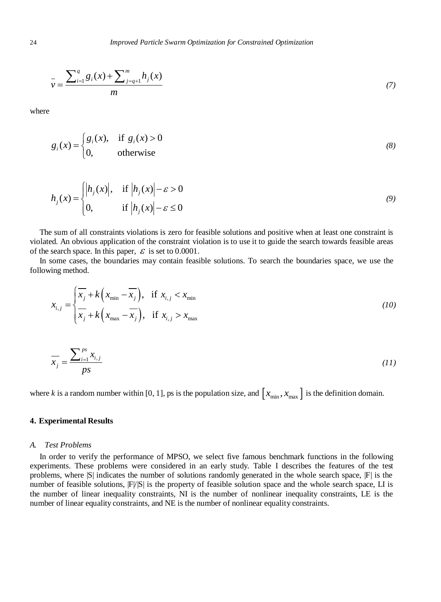$$
\overline{v} = \frac{\sum_{i=1}^{q} g_i(x) + \sum_{j=q+1}^{m} h_j(x)}{m}
$$
\n(7)

where

$$
g_i(x) = \begin{cases} g_i(x), & \text{if } g_i(x) > 0 \\ 0, & \text{otherwise} \end{cases}
$$
 (8)

$$
h_j(x) = \begin{cases} |h_j(x)|, & \text{if } |h_j(x)| - \varepsilon > 0 \\ 0, & \text{if } |h_j(x)| - \varepsilon \le 0 \end{cases}
$$
(9)

The sum of all constraints violations is zero for feasible solutions and positive when at least one constraint is violated. An obvious application of the constraint violation is to use it to guide the search towards feasible areas of the search space. In this paper,  $\epsilon$  is set to 0.0001.

In some cases, the boundaries may contain feasible solutions. To search the boundaries space, we use the following method.

$$
x_{i,j} = \begin{cases} \overline{x_j} + k \left( x_{\min} - \overline{x_j} \right), & \text{if } x_{i,j} < x_{\min} \\ \overline{x_j} + k \left( x_{\max} - \overline{x_j} \right), & \text{if } x_{i,j} > x_{\max} \end{cases} \tag{10}
$$

$$
\overline{x_j} = \frac{\sum_{i=1}^{ps} x_{i,j}}{ps} \tag{11}
$$

where *k* is a random number within [0, 1], ps is the population size, and  $[x_{\min}, x_{\max}]$  is the definition domain.

#### **4. Experimental Results**

#### *A. Test Problems*

In order to verify the performance of MPSO, we select five famous benchmark functions in the following experiments. These problems were considered in an early study. Table I describes the features of the test problems, where  $|S|$  indicates the number of solutions randomly generated in the whole search space,  $|F|$  is the number of feasible solutions,  $|F|/|S|$  is the property of feasible solution space and the whole search space, LI is the number of linear inequality constraints, NI is the number of nonlinear inequality constraints, LE is the number of linear equality constraints, and NE is the number of nonlinear equality constraints.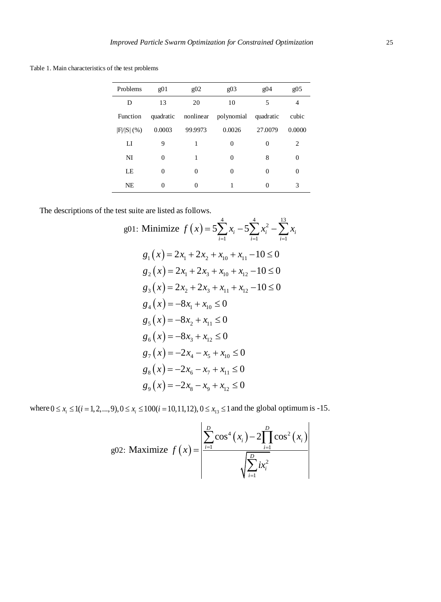Table 1. Main characteristics of the test problems

| Problems      | g(0)      | g(0)      | g(0)       | g04       | g(0.5) |
|---------------|-----------|-----------|------------|-----------|--------|
| D             | 13        | 20        | 10         | 5         | 4      |
| Function      | quadratic | nonlinear | polynomial | quadratic | cubic  |
| $ F / S $ (%) | 0.0003    | 99.9973   | 0.0026     | 27.0079   | 0.0000 |
| LI            | 9         | 1         | $\theta$   | $\theta$  | 2      |
| NI            | $\Omega$  |           | $\Omega$   | 8         | 0      |
| LE            | $\Omega$  | $\Omega$  | $\theta$   | $\theta$  | 0      |
| <b>NE</b>     | 0         | $\theta$  |            |           | 3      |
|               |           |           |            |           |        |

The descriptions of the test suite are listed as follows.

st suite are listed as follows.  
\ng01: Minimize 
$$
f(x) = 5\sum_{i=1}^{4} x_i - 5\sum_{i=1}^{4} x_i^2 - \sum_{i=1}^{13} x_i
$$
  
\n $g_1(x) = 2x_1 + 2x_2 + x_{10} + x_{11} - 10 \le 0$   
\n $g_2(x) = 2x_1 + 2x_3 + x_{10} + x_{12} - 10 \le 0$   
\n $g_3(x) = 2x_2 + 2x_3 + x_{11} + x_{12} - 10 \le 0$   
\n $g_4(x) = -8x_1 + x_{10} \le 0$   
\n $g_5(x) = -8x_2 + x_{11} \le 0$   
\n $g_6(x) = -8x_3 + x_{12} \le 0$   
\n $g_7(x) = -2x_4 - x_5 + x_{10} \le 0$   
\n $g_8(x) = -2x_6 - x_7 + x_{11} \le 0$   
\n $g_9(x) = -2x_8 - x_9 + x_{12} \le 0$ 

 $g_9(x) = -2x_8 - x_9 + x_{12} \ge 0$ <br>where  $0 \le x_i \le 1$  (*i* = 1, 2, ..., 9),  $0 \le x_i \le 100$  (*i* = 10,11,12),  $0 \le x_{13} \le 1$  and the global optimum is -15.

g02: Maximize 
$$
f(x) = \frac{\sum_{i=1}^{D} \cos^4(x_i) - 2 \prod_{i=1}^{D} \cos^2(x_i)}{\sqrt{\sum_{i=1}^{D} ix_i^2}}
$$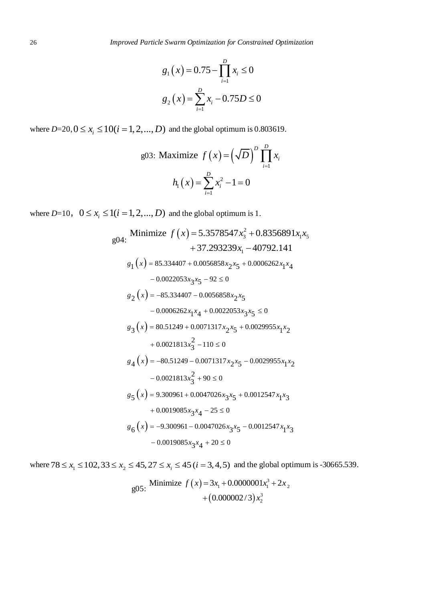$$
g_1(x) = 0.75 - \prod_{i=1}^{D} x_i \le 0
$$
  

$$
g_2(x) = \sum_{i=1}^{D} x_i - 0.75D \le 0
$$

where  $D=20, 0 \le x_i \le 10(i = 1, 2, ..., D)$  and the global optimum is 0.803619.

g03: Maximize 
$$
f(x) = (\sqrt{D})^D \prod_{i=1}^D x_i
$$
  

$$
h_1(x) = \sum_{i=1}^D x_i^2 - 1 = 0
$$

where 
$$
D=10
$$
,  $0 \le x_i \le 1(i = 1, 2, ..., D)$  and the global optimum is 1.  
\n
$$
g04: \text{Minimize } f(x) = 5.3578547x_3^2 + 0.8356891x_1x_5 + 37.293239x_1 - 40792.141
$$
\n
$$
s_1(x) = 85.334407 + 0.0056858x_2x_5 + 0.0006262x_1x_4 - 0.0022053x_3x_5 - 92 \le 0
$$
\n
$$
s_2(x) = -85.334407 - 0.0056858x_2x_5 - 0.0006262x_1x_4 + 0.0022053x_3x_5 \le 0
$$
\n
$$
s_3(x) = 80.51249 + 0.0071317x_2x_5 + 0.0029955x_1x_2 + 0.0021813x_3^2 - 110 \le 0
$$
\n
$$
s_4(x) = -80.51249 - 0.0071317x_2x_5 - 0.0029955x_1x_2 - 0.0021813x_3^2 + 90 \le 0
$$
\n
$$
s_5(x) = 9.300961 + 0.0047026x_3x_5 + 0.0012547x_1x_3 + 0.0019085x_3x_4 - 25 \le 0
$$
\n
$$
s_6(x) = -9.300961 - 0.0047026x_3x_5 - 0.0012547x_1x_3 - 0.0019085x_3x_4 + 20 \le 0
$$

 $-0.0019063x_3x_4 + 20 \le 0$ <br>where  $78 \le x_1 \le 102, 33 \le x_2 \le 45, 27 \le x_i \le 45$  ( $i = 3, 4, 5$ ) and the global optimum is -30665.539.<br> $\frac{905}{25}$  Minimize  $f(x) = 3x_1 + 0.0000001x_1^3 + 2x_2$ 

g05: Minimize 
$$
f(x) = 3x_1 + 0.0000001x_1^3 + 2x_2
$$
  
  $+ (0.000002/3)x_2^3$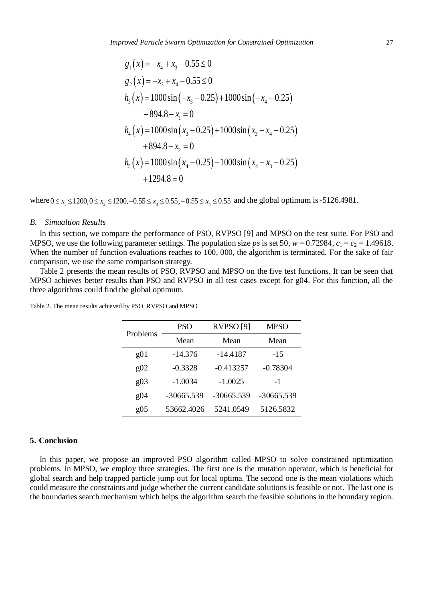$$
g_1(x) = -x_4 + x_3 - 0.55 \le 0
$$
  
\n
$$
g_2(x) = -x_3 + x_4 - 0.55 \le 0
$$
  
\n
$$
h_3(x) = 1000 \sin(-x_3 - 0.25) + 1000 \sin(-x_4 - 0.25)
$$
  
\n
$$
+ 894.8 - x_1 = 0
$$
  
\n
$$
h_4(x) = 1000 \sin(x_3 - 0.25) + 1000 \sin(x_3 - x_4 - 0.25)
$$
  
\n
$$
+ 894.8 - x_2 = 0
$$
  
\n
$$
h_5(x) = 1000 \sin(x_4 - 0.25) + 1000 \sin(x_4 - x_3 - 0.25)
$$
  
\n
$$
+ 1294.8 = 0
$$

 $+1294.8 = 0$ <br>where  $0 \le x_1 \le 1200, 0 \le x_2 \le 1200, -0.55 \le x_3 \le 0.55, -0.55 \le x_4 \le 0.55$  and the global optimum is -5126.4981.

#### *B. Simualtion Results*

In this section, we compare the performance of PSO, RVPSO [9] and MPSO on the test suite. For PSO and MPSO, we use the following parameter settings. The population size *ps* is set 50,  $w = 0.72984$ ,  $c_1 = c_2 = 1.49618$ . When the number of function evaluations reaches to 100, 000, the algorithm is terminated. For the sake of fair comparison, we use the same comparison strategy.

Table 2 presents the mean results of PSO, RVPSO and MPSO on the five test functions. It can be seen that MPSO achieves better results than PSO and RVPSO in all test cases except for g04. For this function, all the three algorithms could find the global optimum.

| Problems        | <b>PSO</b>   | <b>RVPSO</b> [9] | MPSO       |  |
|-----------------|--------------|------------------|------------|--|
|                 | Mean         | Mean             | Mean       |  |
| $\varrho$ 01    | $-14.376$    | $-14.4187$       | $-15$      |  |
| g <sub>02</sub> | $-0.3328$    | $-0.413257$      | $-0.78304$ |  |
| g(0)            | $-1.0034$    | $-1.0025$        | $-1$       |  |
| g04             | $-30665.539$ | $-30665.539$     | -30665.539 |  |
| g <sub>05</sub> | 53662.4026   | 5241.0549        | 5126.5832  |  |

Table 2. The mean results achieved by PSO, RVPSO and MPSO

#### **5. Conclusion**

In this paper, we propose an improved PSO algorithm called MPSO to solve constrained optimization problems. In MPSO, we employ three strategies. The first one is the mutation operator, which is beneficial for global search and help trapped particle jump out for local optima. The second one is the mean violations which could measure the constraints and judge whether the current candidate solutions is feasible or not. The last one is the boundaries search mechanism which helps the algorithm search the feasible solutions in the boundary region.